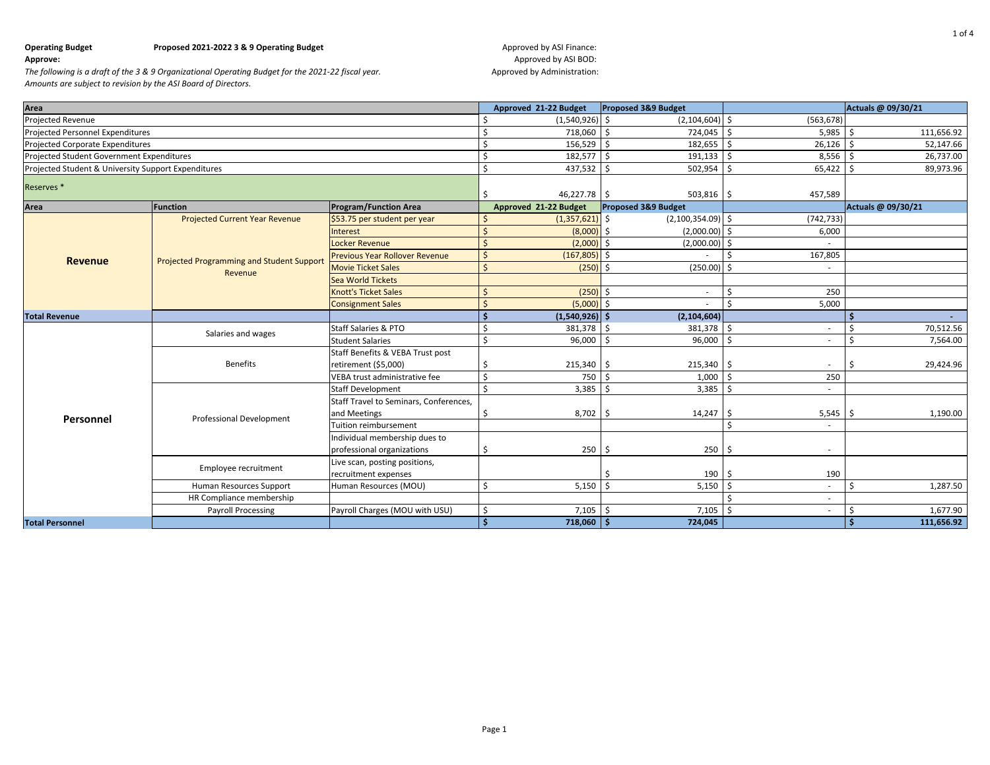# **Approve: Approved by ASI BOD: Approved by ASI BOD: Approved by ASI BOD: Approved by ASI BOD: Approved by ASI BOD:**

| Area                                                |                                                  |                                                          | Approved 21-22 Budget | Proposed 3&9 Budget   |                          |                    | Actuals @ 09/30/21 |                    |
|-----------------------------------------------------|--------------------------------------------------|----------------------------------------------------------|-----------------------|-----------------------|--------------------------|--------------------|--------------------|--------------------|
| Projected Revenue                                   |                                                  |                                                          | Ś                     | $(1,540,926)$ \$      | $(2,104,604)$ \$         | (563, 678)         |                    |                    |
| Projected Personnel Expenditures                    |                                                  |                                                          | Ś                     | 718,060 \$            | 724,045 \$               | $5,985$ \$         |                    | 111,656.92         |
| Projected Corporate Expenditures                    |                                                  |                                                          | Ś                     | 156,529               | 182,655                  | Ŝ.<br>$26,126$ \$  |                    | 52,147.66          |
| Projected Student Government Expenditures           |                                                  |                                                          | Ś                     | 182,577 \$            | $191,133$ \$             | $8,556$ \$         |                    | 26,737.00          |
| Projected Student & University Support Expenditures |                                                  |                                                          | Ś                     | 437,532 \$            | 502,954                  | Ŝ.<br>$65,422$ \$  |                    | 89,973.96          |
| Reserves <sup>*</sup>                               |                                                  |                                                          | Ś                     | 46,227.78 \$          | $503,816$ \$             | 457,589            |                    |                    |
| Area                                                | <b>Function</b>                                  | <b>Program/Function Area</b>                             |                       | Approved 21-22 Budget | Proposed 3&9 Budget      |                    |                    | Actuals @ 09/30/21 |
|                                                     | <b>Projected Current Year Revenue</b>            | \$53.75 per student per year                             | -S                    | (1,357,621)           | Ś<br>$(2,100,354.09)$ \$ | (742, 733)         |                    |                    |
|                                                     |                                                  | Interest                                                 | Ś                     | (8,000)               | $(2,000.00)$ \$          | 6,000              |                    |                    |
|                                                     |                                                  | <b>Locker Revenue</b>                                    | Ś                     | $(2,000)$ \$          | $(2,000.00)$ \$          |                    |                    |                    |
| <b>Revenue</b>                                      | <b>Projected Programming and Student Support</b> | <b>Previous Year Rollover Revenue</b>                    | \$                    | $(167, 805)$ \$       |                          | 167,805            |                    |                    |
|                                                     | Revenue                                          | <b>Movie Ticket Sales</b>                                | Ś                     | $(250)$ \$            | (250.00)                 | -Ś                 |                    |                    |
|                                                     |                                                  | <b>Sea World Tickets</b>                                 |                       |                       |                          |                    |                    |                    |
|                                                     |                                                  | <b>Knott's Ticket Sales</b>                              | Ś                     | $(250)$ \$            | $\sim$                   | 250<br>Ś.          |                    |                    |
|                                                     |                                                  | <b>Consignment Sales</b>                                 | <sup>5</sup>          | $(5,000)$ \$          |                          | <b>¢</b><br>5,000  |                    |                    |
| <b>Total Revenue</b>                                |                                                  |                                                          | Ś                     | $(1,540,926)$ \$      | (2, 104, 604)            |                    |                    |                    |
|                                                     | Salaries and wages                               | <b>Staff Salaries &amp; PTO</b>                          | Ś                     | 381,378               | 381,378                  | Ŝ.                 |                    | 70,512.56          |
|                                                     |                                                  | <b>Student Salaries</b>                                  | Ś                     | 96,000                | 96,000<br>$\cdot$ 1 \$   | -\$<br>$\sim$      |                    | 7,564.00           |
|                                                     | <b>Benefits</b>                                  | Staff Benefits & VEBA Trust post<br>retirement (\$5,000) | Ś                     | $215,340$ \$          | 215,340                  | -\$<br>٠           | -Ś                 | 29,424.96          |
|                                                     |                                                  | VEBA trust administrative fee                            | $\mathsf{S}$          | 750                   | 1,000<br>- Ś             | 250<br>-\$         |                    |                    |
|                                                     | <b>Professional Development</b>                  | <b>Staff Development</b>                                 | Ŝ.                    | $3,385$ \$            | 3,385                    | - Ś<br>$\sim$      |                    |                    |
|                                                     |                                                  | Staff Travel to Seminars, Conferences,                   |                       |                       |                          |                    |                    |                    |
|                                                     |                                                  | and Meetings                                             |                       | $8,702$ \$            | 14,247                   | - Ś<br>$5,545$ \$  |                    | 1,190.00           |
| Personnel                                           |                                                  | Tuition reimbursement                                    |                       |                       |                          | $\mathsf{\hat{S}}$ |                    |                    |
|                                                     |                                                  | Individual membership dues to                            |                       |                       |                          |                    |                    |                    |
|                                                     |                                                  | professional organizations                               | Ś                     | $250 \quad $$         | 250                      | - Ś                |                    |                    |
|                                                     |                                                  | Live scan, posting positions,                            |                       |                       |                          |                    |                    |                    |
|                                                     | Employee recruitment                             | recruitment expenses                                     |                       |                       | 190                      | 190<br>-S          |                    |                    |
|                                                     | Human Resources Support                          | Human Resources (MOU)                                    | $\mathsf{S}$          | $5,150$ \$            | 5,150                    | - Ś                | -Ś                 | 1,287.50           |
|                                                     | HR Compliance membership                         |                                                          |                       |                       |                          |                    |                    |                    |
|                                                     | <b>Payroll Processing</b>                        | Payroll Charges (MOU with USU)                           | \$                    | 7,105                 | 7,105                    |                    |                    | 1,677.90           |
| <b>Total Personnel</b>                              |                                                  |                                                          | <b>S</b>              | $718,060$ \$          | 724,045                  |                    |                    | 111,656.92         |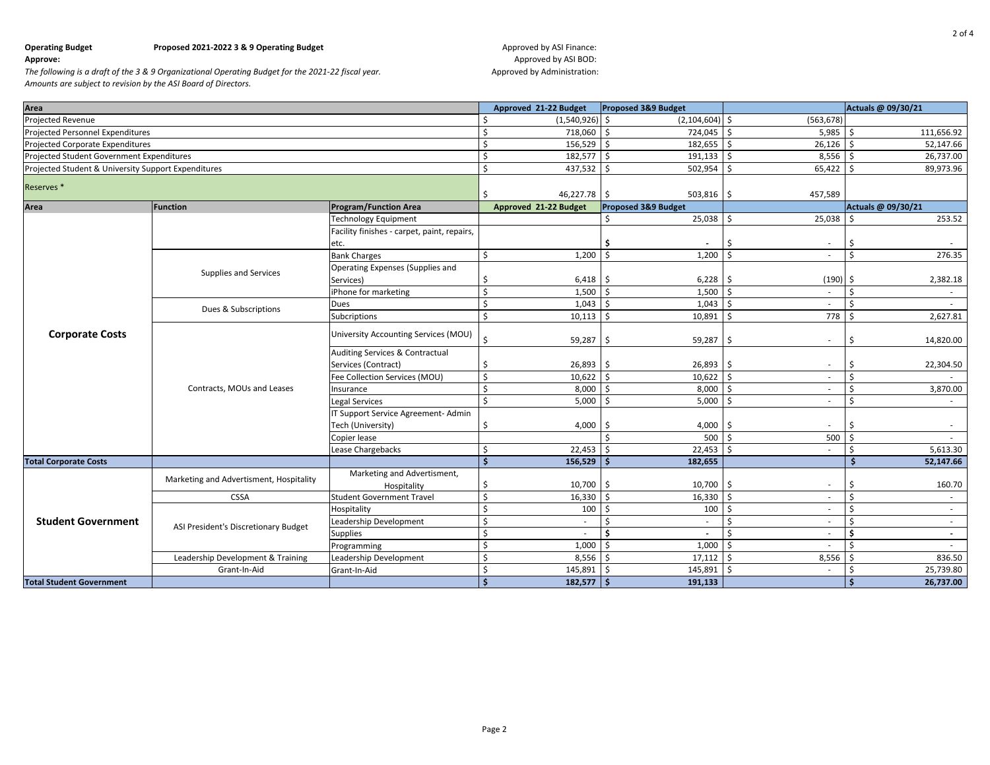# **Approve: Approved by ASI BOD: Approved by ASI BOD: Approved by ASI BOD: Approved by ASI BOD: Approved by ASI BOD:**

| Area                                                |                                         |                                             | Approved 21-22 Budget              | Proposed 3&9 Budget |                                | Actuals @ 09/30/21 |
|-----------------------------------------------------|-----------------------------------------|---------------------------------------------|------------------------------------|---------------------|--------------------------------|--------------------|
| Projected Revenue                                   |                                         |                                             | $(1,540,926)$ \$<br>Ŝ              | (2, 104, 604)       | (563, 678)<br>Ŝ.               |                    |
| <b>Projected Personnel Expenditures</b>             |                                         | 718,060 \$<br>Ŝ.                            | 724,045                            | 5,985<br>Ŝ.         | 111,656.92<br>-Ś               |                    |
| <b>Projected Corporate Expenditures</b>             |                                         |                                             | $\zeta$<br>$156,529$ \$            | 182,655             | Ŝ.<br>26,126                   | 52,147.66<br>-Ś    |
| Projected Student Government Expenditures           |                                         |                                             | $\mathsf{S}$<br>182,577 \$         | 191,133             | \$<br>8,556                    | 26,737.00<br>l S   |
| Projected Student & University Support Expenditures |                                         |                                             | $\zeta$<br>$437,532$ \$            | 502,954             | \$<br>$65,422$ \$              | 89,973.96          |
| Reserves <sup>*</sup>                               |                                         | 46,227.78 \$<br>-Ś                          | 503,816                            | 457,589<br>\$       |                                |                    |
| Area                                                | <b>Function</b>                         | <b>Program/Function Area</b>                | Approved 21-22 Budget              | Proposed 3&9 Budget |                                | Actuals @ 09/30/21 |
|                                                     |                                         | <b>Technology Equipment</b>                 |                                    | 25,038              | \$<br>25,038                   | 253.52<br>- Ś      |
|                                                     |                                         | Facility finishes - carpet, paint, repairs, |                                    |                     |                                |                    |
|                                                     |                                         | etc.                                        |                                    | Ŝ.                  | Ś<br>$\sim$                    | Ś                  |
|                                                     |                                         | <b>Bank Charges</b>                         | \$<br>$1,200$ \$                   | 1,200               | Ś<br>$\sim$                    | $\zeta$<br>276.35  |
|                                                     |                                         | Operating Expenses (Supplies and            |                                    |                     |                                |                    |
|                                                     | Supplies and Services                   | Services)                                   | $6,418$ \$<br>\$                   | 6,228               | \$<br>$(190)$ \$               | 2,382.18           |
|                                                     |                                         | iPhone for marketing                        | \$<br>$1,500$ \$                   | 1,500               | \$<br>$\sim$                   | Ś<br>$\sim$        |
|                                                     | Dues & Subscriptions                    | Dues                                        | $\zeta$<br>$1,043$ \$              | 1,043               | \$                             | Ś                  |
|                                                     |                                         | Subcriptions                                | $\zeta$<br>$10,113$ \$             | 10,891              | Ś.<br>778                      | 2,627.81<br>-Ś     |
| <b>Corporate Costs</b>                              | Contracts, MOUs and Leases              | University Accounting Services (MOU)        | \$<br>$59,287$ \$                  | 59,287              | \$<br>$\overline{\phantom{a}}$ | 14,820.00<br>Ś.    |
|                                                     |                                         | <b>Auditing Services &amp; Contractual</b>  |                                    |                     |                                |                    |
|                                                     |                                         | Services (Contract)                         | -\$<br>$26,893$ \$                 | 26,893              | Ś<br>$\sim$                    | Ś<br>22,304.50     |
|                                                     |                                         | Fee Collection Services (MOU)               | \$<br>$10,622$ \$                  | 10,622              | \$<br>$\sim$                   | Ś                  |
|                                                     |                                         | Insurance                                   | $\mathsf{S}$<br>$8,000$ \$         | 8,000               | Ŝ.<br>÷.                       | Ś.<br>3,870.00     |
|                                                     |                                         | Legal Services                              | \$<br>$5,000$ \$                   | 5,000               | Ś<br>$\sim$                    | Ś<br>$\sim$        |
|                                                     |                                         | T Support Service Agreement- Admin          |                                    |                     |                                |                    |
|                                                     |                                         | Tech (University)                           | $4,000$ \$<br>Š.                   | 4,000               | Ś                              | Ś                  |
|                                                     |                                         | Copier lease                                |                                    | 500                 | \$<br>500                      | .s                 |
|                                                     |                                         | Lease Chargebacks                           | $\zeta$<br>$22,453$ \$             | 22,453              | \$<br>$\sim$                   | Ś<br>5,613.30      |
| <b>Total Corporate Costs</b>                        |                                         |                                             | $\dot{\mathsf{s}}$<br>$156,529$ \$ | 182,655             |                                | 52,147.66          |
|                                                     | Marketing and Advertisment, Hospitality | Marketing and Advertisment,                 |                                    |                     |                                |                    |
|                                                     |                                         | Hospitality                                 | \$<br>$10,700$ \$                  | 10,700              | \$                             | 160.70<br>Ŝ        |
|                                                     | CSSA                                    | <b>Student Government Travel</b>            | $\mathsf{\$}$<br>$16,330$ \$       | 16,330              | \$<br>$\overline{\phantom{a}}$ | Ś<br>$\sim$        |
|                                                     |                                         | Hospitality                                 | $\zeta$<br>$100 \pm$               | 100                 | \$                             | Ś<br>$\sim$        |
| <b>Student Government</b>                           | ASI President's Discretionary Budget    | Leadership Development                      | $\zeta$<br>$\sim$                  | l \$<br>$\sim$      | Ś<br>$\sim$                    | \$<br>$\sim$       |
|                                                     |                                         | <b>Supplies</b>                             | $\zeta$<br>$\sim$                  | Ś.<br>$\sim$        | $\zeta$<br>$\sim$              | Ś<br>$\sim$        |
|                                                     |                                         | Programming                                 | $\zeta$<br>$1,000$ \$              | 1,000               | Ś                              | ¢<br>$\sim$        |
|                                                     | Leadership Development & Training       | Leadership Development                      | $\zeta$<br>$8,556$ \$              | 17,112              | 8,556<br>Ŝ.                    | 836.50             |
|                                                     | Grant-In-Aid                            | Grant-In-Aid                                | -\$<br>145,891 \$                  | 145,891             | Ŝ.                             | 25,739.80          |
| <b>Total Student Government</b>                     |                                         |                                             | $\mathsf{\hat{S}}$<br>$182,577$ \$ | 191,133             |                                | -Ś<br>26,737.00    |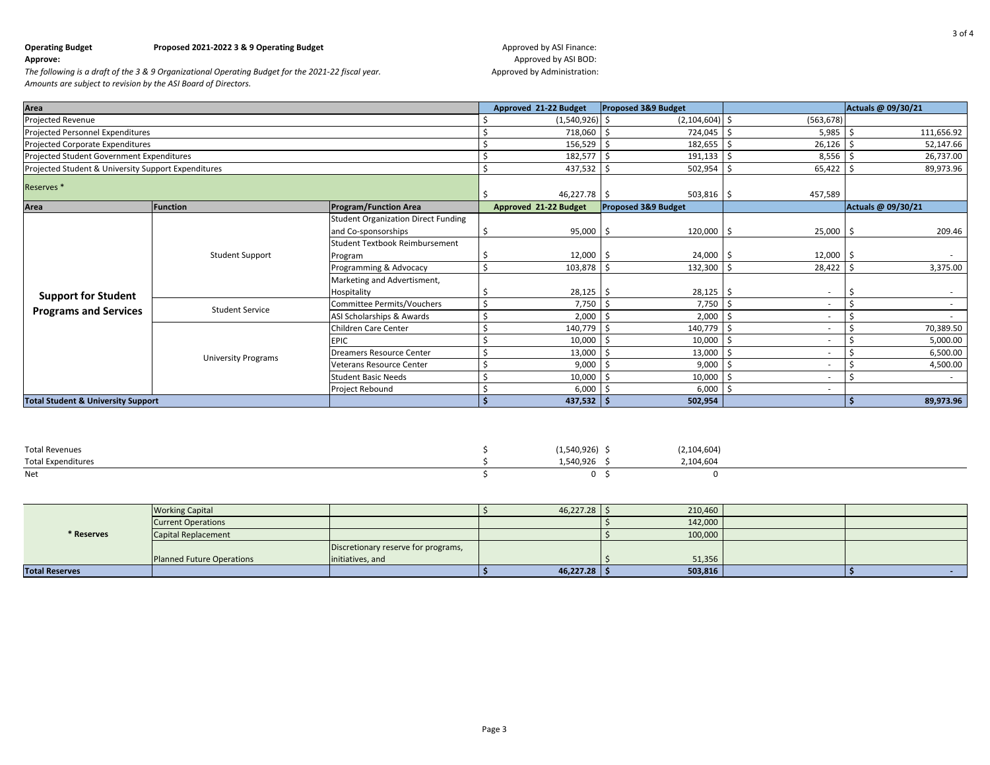**Approve: Approved by ASI BOD: Approved by ASI BOD: Approved by ASI BOD: Approved by ASI BOD: Approved by ASI BOD:** 

| Area                                                |                            |                                            | Approved 21-22 Budget | <b>Proposed 3&amp;9 Budget</b> |                   | Actuals @ 09/30/21 |
|-----------------------------------------------------|----------------------------|--------------------------------------------|-----------------------|--------------------------------|-------------------|--------------------|
| Projected Revenue                                   |                            |                                            | $(1,540,926)$ \$      | $(2,104,604)$ \$               | (563, 678)        |                    |
| Projected Personnel Expenditures                    |                            |                                            | 718,060               | 724,045<br>-Ś                  | 5,985<br>-S       | 111,656.92         |
| Projected Corporate Expenditures                    |                            |                                            | 156,529               | 182,655<br>-Ś                  | 26,126<br>-S      | 52,147.66          |
| Projected Student Government Expenditures           |                            |                                            | $182,577$ \$          | 191,133                        | 8,556<br>-S       | 26,737.00          |
| Projected Student & University Support Expenditures |                            |                                            | $437,532$ \$          | 502,954                        | 65,422<br>-S      | 89,973.96          |
| Reserves <sup>*</sup>                               |                            |                                            | $46,227.78$ \$        | 503,816                        | 457,589<br>Ŝ      |                    |
| Area                                                | Function                   | <b>Program/Function Area</b>               | Approved 21-22 Budget | <b>Proposed 3&amp;9 Budget</b> |                   | Actuals @ 09/30/21 |
|                                                     | <b>Student Support</b>     | <b>Student Organization Direct Funding</b> |                       |                                |                   |                    |
|                                                     |                            | and Co-sponsorships                        | 95,000                | 120,000<br>-\$                 | $25,000$ \$<br>.S | 209.46             |
|                                                     |                            | <b>Student Textbook Reimbursement</b>      |                       |                                |                   |                    |
|                                                     |                            | Program                                    | 12,000                | 24,000                         | 12,000            | $\sim$             |
|                                                     |                            | Programming & Advocacy                     | 103,878               | -Ś<br>132,300                  | 28,422            | 3,375.00           |
|                                                     |                            | Marketing and Advertisment,<br>Hospitality | $28,125$ \$           | 28,125                         | -S                |                    |
| <b>Support for Student</b>                          | <b>Student Service</b>     | Committee Permits/Vouchers                 | 7,750                 | 7,750                          |                   |                    |
| <b>Programs and Services</b>                        |                            | ASI Scholarships & Awards                  | 2,000                 | 2,000                          |                   |                    |
|                                                     |                            | Children Care Center                       | 140,779               | 140,779<br>-Ś                  |                   | 70,389.50          |
|                                                     |                            | <b>EPIC</b>                                | 10,000                | 10,000<br>-Ś                   |                   | 5,000.00           |
|                                                     | <b>University Programs</b> | <b>Dreamers Resource Center</b>            | 13,000                | 13,000                         |                   | 6,500.00           |
|                                                     |                            | <b>Veterans Resource Center</b>            | 9,000                 | 9,000                          |                   | 4,500.00           |
|                                                     |                            | <b>Student Basic Needs</b>                 | 10,000                | 10,000                         |                   |                    |
|                                                     |                            | Project Rebound                            | 6,000                 | 6,000                          |                   |                    |
| <b>Total Student &amp; University Support</b>       |                            | $437,532$ \$                               | 502,954               |                                | 89,973.96         |                    |

| <b>Total Revenues</b>     | $(1,540,926)$ \$ | (2, 104, 604) |
|---------------------------|------------------|---------------|
| <b>Total Expenditures</b> | 1,540,926        | 2,104,604     |
| Net                       |                  |               |

|                       | <b>Working Capital</b>           |                                     | $46,227.28$ \$ | 210,460 |  |
|-----------------------|----------------------------------|-------------------------------------|----------------|---------|--|
|                       | <b>Current Operations</b>        |                                     |                | 142,000 |  |
| * Reserves            | Capital Replacement              |                                     |                | 100,000 |  |
|                       |                                  | Discretionary reserve for programs, |                |         |  |
|                       | <b>Planned Future Operations</b> | linitiatives, and                   |                | 51,356  |  |
| <b>Total Reserves</b> |                                  |                                     | $46,227.28$ \$ | 503,816 |  |